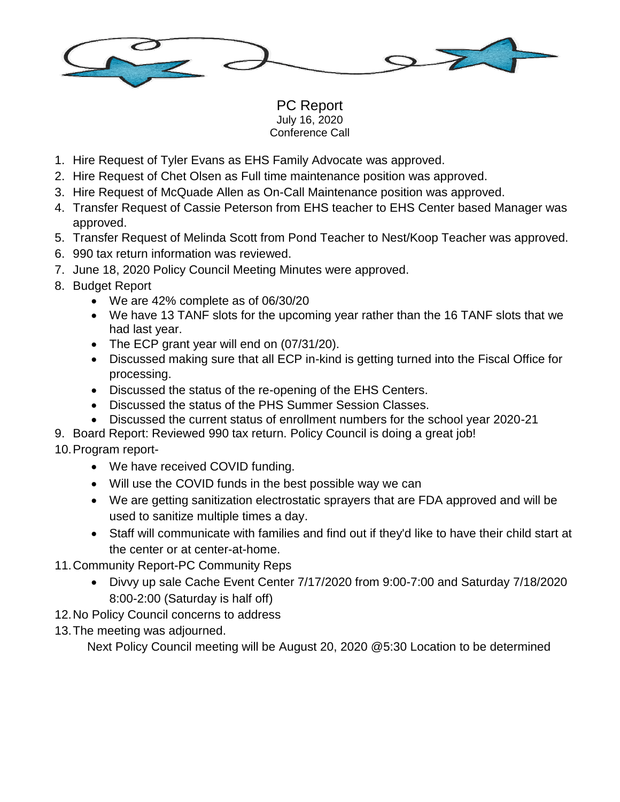

PC Report July 16, 2020 Conference Call

- 1. Hire Request of Tyler Evans as EHS Family Advocate was approved.
- 2. Hire Request of Chet Olsen as Full time maintenance position was approved.
- 3. Hire Request of McQuade Allen as On-Call Maintenance position was approved.
- 4. Transfer Request of Cassie Peterson from EHS teacher to EHS Center based Manager was approved.
- 5. Transfer Request of Melinda Scott from Pond Teacher to Nest/Koop Teacher was approved.
- 6. 990 tax return information was reviewed.
- 7. June 18, 2020 Policy Council Meeting Minutes were approved.
- 8. Budget Report
	- We are 42% complete as of 06/30/20
	- We have 13 TANF slots for the upcoming year rather than the 16 TANF slots that we had last year.
	- The ECP grant year will end on (07/31/20).
	- Discussed making sure that all ECP in-kind is getting turned into the Fiscal Office for processing.
	- Discussed the status of the re-opening of the EHS Centers.
	- Discussed the status of the PHS Summer Session Classes.
	- Discussed the current status of enrollment numbers for the school year 2020-21
- 9. Board Report: Reviewed 990 tax return. Policy Council is doing a great job!

## 10.Program report-

- We have received COVID funding.
- Will use the COVID funds in the best possible way we can
- We are getting sanitization electrostatic sprayers that are FDA approved and will be used to sanitize multiple times a day.
- Staff will communicate with families and find out if they'd like to have their child start at the center or at center-at-home.
- 11.Community Report-PC Community Reps
	- Divvy up sale Cache Event Center 7/17/2020 from 9:00-7:00 and Saturday 7/18/2020 8:00-2:00 (Saturday is half off)
- 12.No Policy Council concerns to address
- 13.The meeting was adjourned.

Next Policy Council meeting will be August 20, 2020 @5:30 Location to be determined